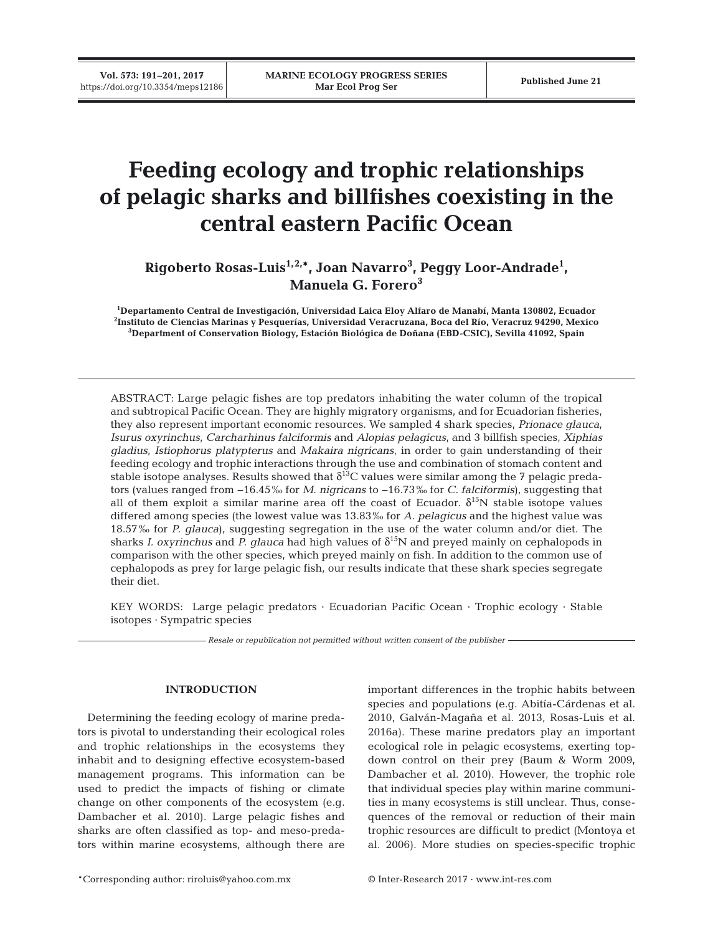**Vol. 573: 191–201, 2017**

# **Feeding ecology and trophic relationships of pelagic sharks and billfishes coexisting in the central eastern Pacific Ocean**

**Rigoberto Rosas-Luis1,2,\*, Joan Navarro3 , Peggy Loor-Andrade1 , Manuela G. Forero3**

**1 Departamento Central de Investigación, Universidad Laica Eloy Alfaro de Manabí, Manta 130802, Ecuador 2 Instituto de Ciencias Marinas y Pesquerías, Universidad Veracruzana, Boca del Río, Veracruz 94290, Mexico 3 Department of Conservation Biology, Estación Biológica de Doñana (EBD-CSIC), Sevilla 41092, Spain**

ABSTRACT: Large pelagic fishes are top predators inhabiting the water column of the tropical and subtropical Pacific Ocean. They are highly migratory organisms, and for Ecuadorian fisheries, they also represent important economic resources. We sampled 4 shark species, *Prionace glauca*, *Isurus oxyrinchus*, *Carcharhinus falciformis* and *Alopias pelagicus*, and 3 billfish species, *Xiphias gladius*, *Istiophorus platypterus* and *Makaira nigricans*, in order to gain understanding of their feeding ecology and trophic interactions through the use and combination of stomach content and stable isotope analyses. Results showed that  $\delta^{13}$ C values were similar among the 7 pelagic predators (values ranged from −16.45‰ for *M. nigricans* to −16.73‰ for *C. falciformis*), suggesting that all of them exploit a similar marine area off the coast of Ecuador.  $\delta^{15}N$  stable isotope values differed among species (the lowest value was 13.83‰ for *A. pelagicus* and the highest value was 18.57‰ for *P. glauca*), suggesting segregation in the use of the water column and/or diet. The sharks *I. oxyrinchus* and *P. glauca* had high values of  $\delta^{15}N$  and preyed mainly on cephalopods in comparison with the other species, which preyed mainly on fish. In addition to the common use of cephalopods as prey for large pelagic fish, our results indicate that these shark species segregate their diet.

KEY WORDS: Large pelagic predators · Ecuadorian Pacific Ocean · Trophic ecology · Stable isotopes · Sympatric species

*Resale or republication not permitted without written consent of the publisher*

## **INTRODUCTION**

Determining the feeding ecology of marine predators is pivotal to understanding their ecological roles and trophic relationships in the ecosystems they inhabit and to designing effective ecosystem-based management programs. This information can be used to predict the impacts of fishing or climate change on other components of the ecosystem (e.g. Dambacher et al. 2010). Large pelagic fishes and sharks are often classified as top- and meso-predators within marine ecosystems, although there are important differences in the trophic habits between species and populations (e.g. Abitía-Cárdenas et al. 2010, Galván-Magaña et al. 2013, Rosas-Luis et al. 2016a). These marine predators play an important ecological role in pelagic ecosystems, exerting topdown control on their prey (Baum & Worm 2009, Dambacher et al. 2010). However, the trophic role that individual species play within marine communities in many ecosystems is still unclear. Thus, consequences of the removal or reduction of their main trophic resources are difficult to predict (Montoya et al. 2006). More studies on species-specific trophic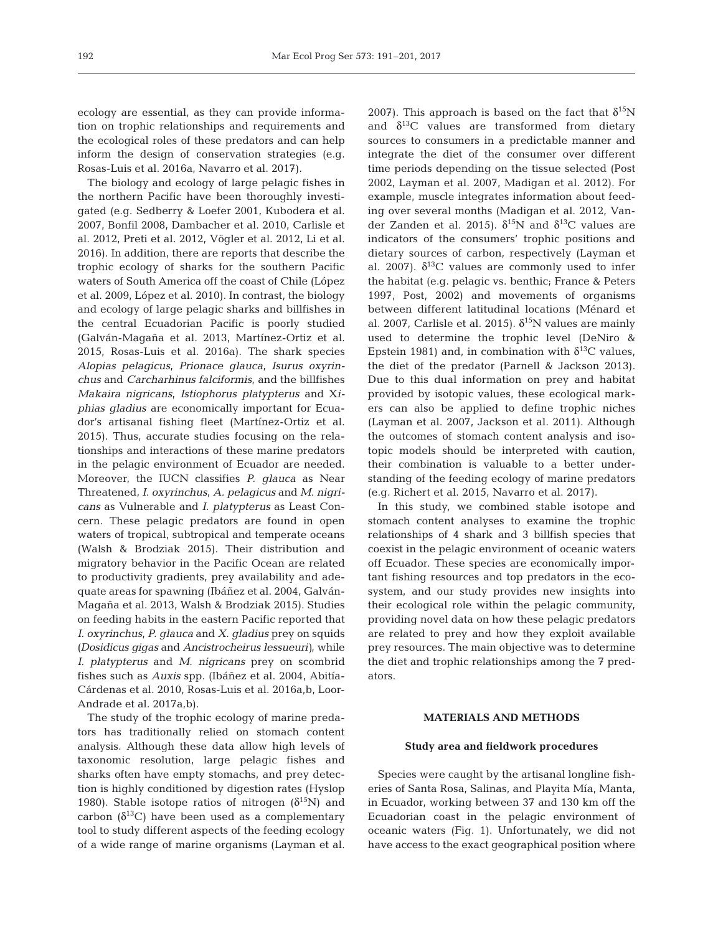ecology are essential, as they can provide information on trophic relationships and requirements and the ecological roles of these predators and can help inform the design of conservation strategies (e.g. Rosas-Luis et al. 2016a, Navarro et al. 2017).

The biology and ecology of large pelagic fishes in the northern Pacific have been thoroughly investigated (e.g. Sedberry & Loefer 2001, Kubodera et al. 2007, Bonfil 2008, Dambacher et al. 2010, Carlisle et al. 2012, Preti et al. 2012, Vögler et al. 2012, Li et al. 2016). In addition, there are reports that describe the trophic ecology of sharks for the southern Pacific waters of South America off the coast of Chile (López et al. 2009, López et al. 2010). In contrast, the biology and ecology of large pelagic sharks and billfishes in the central Ecuadorian Pacific is poorly studied (Galván-Magaña et al. 2013, Martínez-Ortiz et al. 2015, Rosas-Luis et al. 2016a). The shark species *Alopias pelagicus*, *Prionace glauca*, *Isurus oxy rin chus* and *Carcharhinus falciformis*, and the billfishes *Makaira nigricans*, *Istiophorus platypterus* and X*i phias gladius* are economically important for Ecuador's artisanal fishing fleet (Martínez-Ortiz et al. 2015). Thus, accurate studies focusing on the relationships and interactions of these marine predators in the pelagic environment of Ecuador are needed. Moreover, the IUCN classifies *P. glauca* as Near Threatened, *I. oxyrinchus*, *A. pelagicus* and *M. nigricans* as Vulnerable and *I. platypterus* as Least Concern. These pelagic predators are found in open waters of tropical, subtropical and temperate oceans (Walsh & Brodziak 2015). Their distribution and migratory behavior in the Pacific Ocean are related to productivity gradients, prey availability and adequate areas for spawning (Ibáñez et al. 2004, Galván-Magaña et al. 2013, Walsh & Brodziak 2015). Studies on feeding habits in the eastern Pacific reported that *I. oxyrinchus*, *P. glauca* and *X. gladius* prey on squids *(Dosidicus gigas* and *Ancistrocheirus lessueuri)*, while *I. platypterus* and *M. nigricans* prey on scombrid fishes such as *Auxis* spp. (Ibáñez et al. 2004, Abitía-Cárdenas et al. 2010, Rosas-Luis et al. 2016a, b, Loor-Andrade et al. 2017a,b).

The study of the trophic ecology of marine predators has traditionally relied on stomach content analysis. Although these data allow high levels of taxonomic resolution, large pelagic fishes and sharks often have empty stomachs, and prey detection is highly conditioned by digestion rates (Hyslop 1980). Stable isotope ratios of nitrogen  $(\delta^{15}N)$  and carbon  $(\delta^{13}C)$  have been used as a complementary tool to study different aspects of the feeding ecology of a wide range of marine organisms (Layman et al.

2007). This approach is based on the fact that  $\delta^{15}N$ and  $\delta^{13}$ C values are transformed from dietary sources to consumers in a predictable manner and integrate the diet of the consumer over different time periods depending on the tissue selected (Post 2002, Layman et al. 2007, Madigan et al. 2012). For example, muscle integrates information about feeding over several months (Madigan et al. 2012, Vander Zanden et al. 2015).  $\delta^{15}N$  and  $\delta^{13}C$  values are indicators of the consumers' trophic positions and dietary sources of carbon, respectively (Layman et al. 2007).  $\delta^{13}$ C values are commonly used to infer the habitat (e.g. pelagic vs. benthic; France & Peters 1997, Post, 2002) and movements of organisms between different latitudinal locations (Ménard et al. 2007, Carlisle et al. 2015).  $\delta^{15}N$  values are mainly used to determine the trophic level (DeNiro & Epstein 1981) and, in combination with  $\delta^{13}$ C values, the diet of the predator (Parnell & Jackson 2013). Due to this dual information on prey and habitat provided by isotopic values, these ecological markers can also be applied to define trophic niches (Layman et al. 2007, Jackson et al. 2011). Although the outcomes of stomach content analysis and isotopic models should be interpreted with caution, their combination is valuable to a better understanding of the feeding ecology of marine predators (e.g. Richert et al. 2015, Navarro et al. 2017).

In this study, we combined stable isotope and stomach content analyses to examine the trophic relationships of 4 shark and 3 billfish species that coexist in the pelagic environment of oceanic waters off Ecuador. These species are economically important fishing resources and top predators in the ecosystem, and our study provides new insights into their ecological role within the pelagic community, providing novel data on how these pelagic predators are related to prey and how they exploit available prey resources. The main objective was to determine the diet and trophic relationships among the 7 predators.

## **MATERIALS AND METHODS**

#### **Study area and fieldwork procedures**

Species were caught by the artisanal longline fisheries of Santa Rosa, Salinas, and Playita Mía, Manta, in Ecuador, working between 37 and 130 km off the Ecuadorian coast in the pelagic environment of oceanic waters (Fig. 1). Unfortunately, we did not have access to the exact geographical position where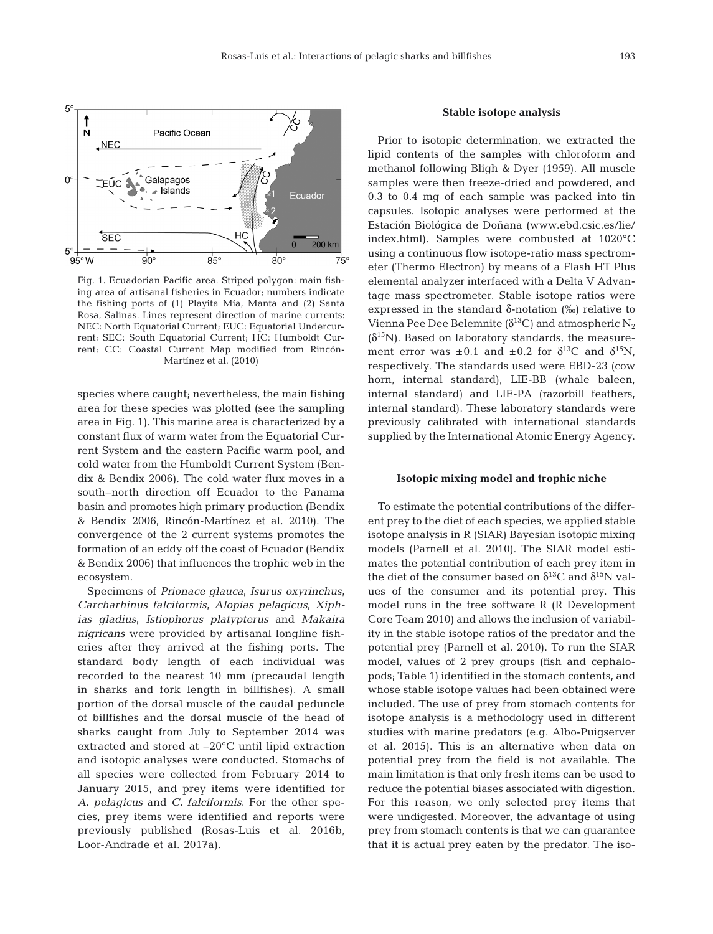

Fig. 1. Ecuadorian Pacific area. Striped polygon: main fishing area of artisanal fisheries in Ecuador; numbers indicate the fishing ports of (1) Playita Mía, Manta and (2) Santa Rosa, Salinas. Lines represent direction of marine currents: NEC: North Equatorial Current; EUC: Equatorial Undercurrent; SEC: South Equatorial Current; HC: Humboldt Current; CC: Coastal Current Map modified from Rincón-Martínez et al. (2010)

species where caught; nevertheless, the main fishing area for these species was plotted (see the sampling area in Fig. 1). This marine area is characterized by a constant flux of warm water from the Equatorial Current System and the eastern Pacific warm pool, and cold water from the Humboldt Current System (Bendix & Bendix 2006). The cold water flux moves in a south−north direction off Ecuador to the Panama basin and promotes high primary production (Bendix & Bendix 2006, Rincón-Martínez et al. 2010). The convergence of the 2 current systems promotes the formation of an eddy off the coast of Ecuador (Bendix & Bendix 2006) that influences the trophic web in the ecosystem.

Specimens of *Prionace glauca*, *Isurus oxyrinchus*, *Carcharhinus falciformis*, *Alopias pelagicus*, *Xi ph ias gladius*, *Istiophorus platypterus* and *Makaira nigricans* were provided by artisanal longline fisheries after they arrived at the fishing ports. The standard body length of each individual was recorded to the nearest 10 mm (precaudal length in sharks and fork length in billfishes). A small portion of the dorsal muscle of the caudal peduncle of billfishes and the dorsal muscle of the head of sharks caught from July to September 2014 was extracted and stored at −20°C until lipid extraction and isotopic analyses were conducted. Stomachs of all species were collected from February 2014 to January 2015, and prey items were identified for *A. pelagicus* and *C. falciformis*. For the other species, prey items were identified and reports were previously published (Rosas-Luis et al. 2016b, Loor-Andrade et al. 2017a).

### **Stable isotope analysis**

Prior to isotopic determination, we extracted the lipid contents of the samples with chloroform and methanol following Bligh & Dyer (1959). All muscle samples were then freeze-dried and powdered, and 0.3 to 0.4 mg of each sample was packed into tin capsules. Isotopic analyses were performed at the Estación Biológica de Doñana (www.ebd.csic.es/lie/ index. html). Samples were combusted at 1020°C using a continuous flow isotope-ratio mass spectrometer (Thermo Electron) by means of a Flash HT Plus elemental analyzer interfaced with a Delta V Advantage mass spectrometer. Stable isotope ratios were expressed in the standard δ-notation (‰) relative to Vienna Pee Dee Belemnite ( $\delta^{13}$ C) and atmospheric N<sub>2</sub>  $(\delta^{15}N)$ . Based on laboratory standards, the measurement error was  $\pm 0.1$  and  $\pm 0.2$  for  $\delta^{13}C$  and  $\delta^{15}N$ , respectively. The standards used were EBD-23 (cow horn, internal standard), LIE-BB (whale baleen, internal standard) and LIE-PA (razorbill feathers, internal standard). These laboratory standards were previously calibrated with international standards supplied by the International Atomic Energy Agency.

#### **Isotopic mixing model and trophic niche**

To estimate the potential contributions of the different prey to the diet of each species, we applied stable isotope analysis in R (SIAR) Bayesian isotopic mixing models (Parnell et al. 2010). The SIAR model estimates the potential contribution of each prey item in the diet of the consumer based on  $\delta^{13}$ C and  $\delta^{15}$ N values of the consumer and its potential prey. This model runs in the free software R (R Development Core Team 2010) and allows the inclusion of variability in the stable isotope ratios of the predator and the potential prey (Parnell et al. 2010). To run the SIAR model, values of 2 prey groups (fish and cephalopods; Table 1) identified in the stomach contents, and whose stable isotope values had been obtained were included. The use of prey from stomach contents for isotope analysis is a methodology used in different studies with marine predators (e.g. Albo-Puigserver et al. 2015). This is an alternative when data on potential prey from the field is not available. The main limitation is that only fresh items can be used to reduce the potential biases associated with digestion. For this reason, we only selected prey items that were undigested. Moreover, the advantage of using prey from stomach contents is that we can guarantee that it is actual prey eaten by the predator. The iso-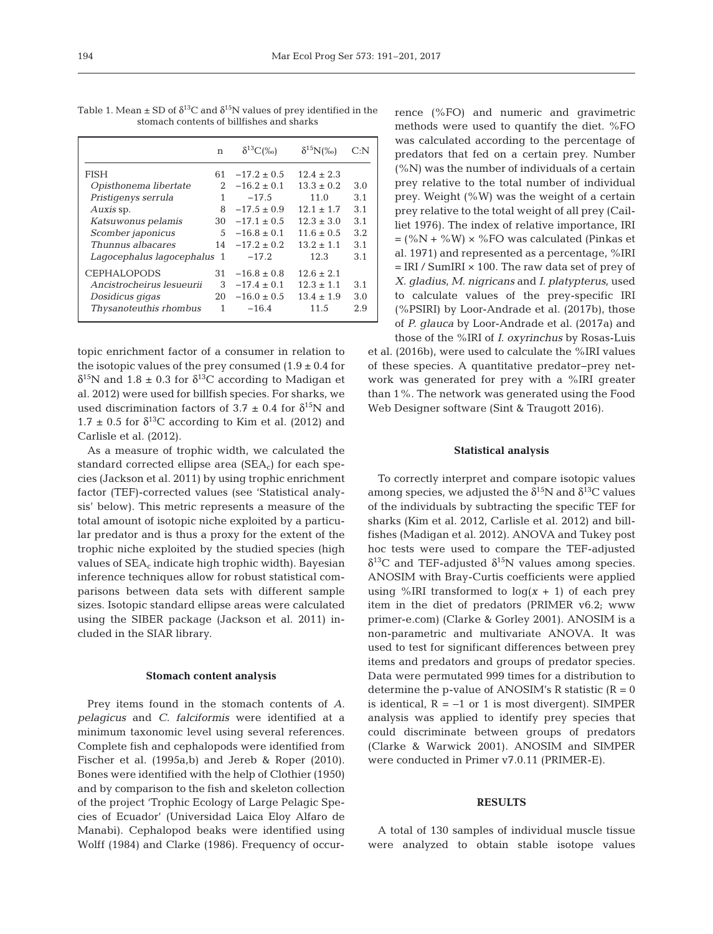|                             | n           | $\delta^{13}C(\%$ | $\delta^{15}N\llap{$\otimes$}$ | C: N |
|-----------------------------|-------------|-------------------|--------------------------------|------|
| FISH                        | 61          | $-17.2 + 0.5$     | $12.4 + 2.3$                   |      |
| Opisthonema libertate       | $2^{\circ}$ | $-16.2 \pm 0.1$   | $13.3 \pm 0.2$                 | 3.0  |
| Pristigenys serrula         | 1           | $-17.5$           | 11.0                           | 3.1  |
| Auxis sp.                   | 8           | $-17.5 \pm 0.9$   | $12.1 \pm 1.7$                 | 3.1  |
| Katsuwonus pelamis          | 30          | $-17.1 \pm 0.5$   | $12.3 \pm 3.0$                 | 3.1  |
| Scomber japonicus           | 5           | $-16.8 \pm 0.1$   | $11.6 \pm 0.5$                 | 3.2  |
| Thunnus albacares           | 14          | $-17.2 \pm 0.2$   | $13.2 \pm 1.1$                 | 3.1  |
| Lagocephalus lagocephalus 1 |             | $-17.2$           | 12.3                           | 3.1  |
| <b>CEPHALOPODS</b>          | 31.         | $-16.8 \pm 0.8$   | $12.6 \pm 2.1$                 |      |
| Ancistrocheirus lesueurii   | 3           | $-17.4 \pm 0.1$   | $12.3 \pm 1.1$                 | 3.1  |
| Dosidicus gigas             | 20          | $-16.0 \pm 0.5$   | $13.4 \pm 1.9$                 | 3.0  |
| Thysanoteuthis rhombus      | 1           | $-16.4$           | 11.5                           | 2.9  |

Table 1. Mean  $\pm$  SD of  $\delta^{13}$ C and  $\delta^{15}$ N values of prey identified in the stomach contents of billfishes and sharks

topic enrichment factor of a consumer in relation to the isotopic values of the prey consumed  $(1.9 \pm 0.4$  for  $δ<sup>15</sup>N$  and 1.8 ± 0.3 for  $δ<sup>13</sup>C$  according to Madigan et al. 2012) were used for billfish species. For sharks, we used discrimination factors of 3.7  $\pm$  0.4 for  $\delta^{15}N$  and  $1.7 \pm 0.5$  for  $\delta^{13}$ C according to Kim et al. (2012) and Carlisle et al. (2012).

As a measure of trophic width, we calculated the standard corrected ellipse area  $(SEA_c)$  for each species (Jackson et al. 2011) by using trophic enrichment factor (TEF)-corrected values (see 'Statistical analysis' below). This metric represents a measure of the total amount of isotopic niche exploited by a particular predator and is thus a proxy for the extent of the trophic niche exploited by the studied species (high values of  $SEA_c$  indicate high trophic width). Bayesian inference techniques allow for robust statistical comparisons between data sets with different sample sizes. Isotopic standard ellipse areas were calculated using the SIBER package (Jackson et al. 2011) included in the SIAR library.

#### **Stomach content analysis**

Prey items found in the stomach contents of *A. pelagicus* and *C. falciformis* were identified at a minimum taxonomic level using several references. Complete fish and cephalopods were identified from Fischer et al. (1995a,b) and Jereb & Roper (2010). Bones were identified with the help of Clothier (1950) and by comparison to the fish and skeleton collection of the project 'Trophic Ecology of Large Pelagic Species of Ecuador' (Universidad Laica Eloy Alfaro de Manabi). Cephalopod beaks were identified using Wolff (1984) and Clarke (1986). Frequency of occur-

rence (%FO) and numeric and gravimetric methods were used to quantify the diet. %FO was calculated according to the percentage of predators that fed on a certain prey. Number  $(\%N)$  was the number of individuals of a certain prey relative to the total number of individual prey. Weight (%W) was the weight of a certain prey relative to the total weight of all prey (Cailliet 1976). The index of relative importance, IRI  $=$  (%N + %W)  $\times$  %FO was calculated (Pinkas et al. 1971) and represented as a percentage, %IRI  $=$  IRI / SumIRI  $\times$  100. The raw data set of prey of *X. gladius*, *M. nigricans* and *I. platypterus*, used to calculate values of the prey- specific IRI (%PSIRI) by Loor-Andrade et al. (2017b), those of *P. glauca* by Loor-Andrade et al. (2017a) and

those of the %IRI of *I. oxyrinchus* by Rosas-Luis et al. (2016b), were used to calculate the %IRI values of these species. A quantitative predator−prey network was generated for prey with a %IRI greater than 1%. The network was generated using the Food Web Designer software (Sint & Traugott 2016).

#### **Statistical analysis**

To correctly interpret and compare isotopic values among species, we adjusted the  $\delta^{15}N$  and  $\delta^{13}C$  values of the individuals by subtracting the specific TEF for sharks (Kim et al. 2012, Carlisle et al. 2012) and billfishes (Madigan et al. 2012). ANOVA and Tukey post hoc tests were used to compare the TEF-adjusted δ<sup>13</sup>C and TEF-adjusted δ<sup>15</sup>N values among species. ANOSIM with Bray-Curtis coefficients were applied using %IRI transformed to  $log(x + 1)$  of each prey item in the diet of predators (PRIMER v6.2; www primer-e.com) (Clarke & Gorley 2001). ANOSIM is a non-parametric and multivariate ANOVA. It was used to test for significant differences between prey items and predators and groups of predator species. Data were permutated 999 times for a distribution to determine the p-value of ANOSIM's R statistic  $(R = 0)$ is identical,  $R = −1$  or 1 is most divergent). SIMPER analysis was applied to identify prey species that could discriminate between groups of predators (Clarke & Warwick 2001). ANOSIM and SIMPER were conducted in Primer v7.0.11 (PRIMER-E).

#### **RESULTS**

A total of 130 samples of individual muscle tissue were analyzed to obtain stable isotope values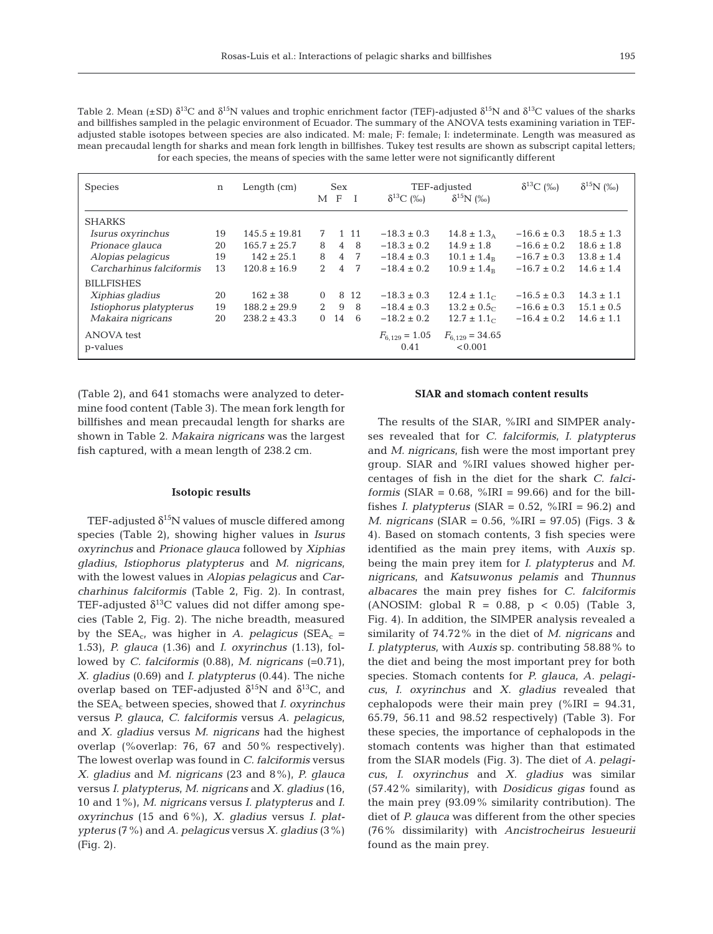195

Table 2. Mean (±SD)  $\delta^{13}C$  and  $\delta^{15}N$  values and trophic enrichment factor (TEF)-adjusted  $\delta^{15}N$  and  $\delta^{13}C$  values of the sharks and billfishes sampled in the pelagic environment of Ecuador. The summary of the ANOVA tests examining variation in TEFadjusted stable isotopes between species are also indicated. M: male; F: female; I: indeterminate. Length was measured as mean precaudal length for sharks and mean fork length in billfishes. Tukey test results are shown as subscript capital letters; for each species, the means of species with the same letter were not significantly different

| <b>Species</b>           | n  | Length $(cm)$     | Sex         |                | TEF-adjusted |                            | $\delta^{13}C$ (‰)             | $\delta^{15}N$ (‰) |                |
|--------------------------|----|-------------------|-------------|----------------|--------------|----------------------------|--------------------------------|--------------------|----------------|
|                          |    |                   |             | M F            |              | $\delta^{13}C$ (%)         | $\delta^{15}N$ (%)             |                    |                |
| <b>SHARKS</b>            |    |                   |             |                |              |                            |                                |                    |                |
| Isurus oxyrinchus        | 19 | $145.5 \pm 19.81$ | 7           |                | 1 1 1        | $-18.3 \pm 0.3$            | $14.8 \pm 1.3_A$               | $-16.6 \pm 0.3$    | $18.5 \pm 1.3$ |
| Prionace glauca          | 20 | $165.7 \pm 25.7$  | 8           | $\overline{4}$ | -8           | $-18.3 \pm 0.2$            | $14.9 \pm 1.8$                 | $-16.6 \pm 0.2$    | $18.6 \pm 1.8$ |
| Alopias pelagicus        | 19 | $142 \pm 25.1$    | 8           | 4              | -7           | $-18.4 \pm 0.3$            | $10.1 \pm 1.4_B$               | $-16.7 \pm 0.3$    | $13.8 \pm 1.4$ |
| Carcharhinus falciformis | 13 | $120.8 \pm 16.9$  | 2           | $\overline{4}$ | 7            | $-18.4 \pm 0.2$            | $10.9 \pm 1.4_B$               | $-16.7 \pm 0.2$    | $14.6 \pm 1.4$ |
| <b>BILLFISHES</b>        |    |                   |             |                |              |                            |                                |                    |                |
| Xiphias gladius          | 20 | $162 \pm 38$      | $\Omega$    |                | 8 1 2        | $-18.3 \pm 0.3$            | $12.4 \pm 1.1$ <sub>C</sub>    | $-16.5 \pm 0.3$    | $14.3 \pm 1.1$ |
| Istiophorus platypterus  | 19 | $188.2 \pm 29.9$  | $2^{\circ}$ | 9              | 8            | $-18.4 \pm 0.3$            | $13.2 \pm 0.5$                 | $-16.6 \pm 0.3$    | $15.1 \pm 0.5$ |
| Makaira nigricans        | 20 | $238.2 \pm 43.3$  | $\Omega$    | -14            | 6            | $-18.2 \pm 0.2$            | $12.7 \pm 1.1$ <sub>C</sub>    | $-16.4 \pm 0.2$    | $14.6 \pm 1.1$ |
| ANOVA test<br>p-values   |    |                   |             |                |              | $F_{6.129} = 1.05$<br>0.41 | $F_{6.129} = 34.65$<br>< 0.001 |                    |                |

(Table 2), and 641 stomachs were analyzed to determine food content (Table 3). The mean fork length for billfishes and mean precaudal length for sharks are shown in Table 2. *Makaira nigricans* was the largest fish captured, with a mean length of 238.2 cm.

## **Isotopic results**

TEF-adjusted  $\delta^{15}N$  values of muscle differed among species (Table 2), showing higher values in *Isurus oxyrinchus* and *Prionace glauca* followed by *Xiphias gladius*, *Istiophorus platypterus* and *M. nigricans*, with the lowest values in *Alopias pelagicus* and *Carcharhinus falciformis* (Table 2, Fig. 2). In contrast, TEF-adjusted  $\delta^{13}$ C values did not differ among species (Table 2, Fig. 2). The niche breadth, measured by the  $SEA_c$ , was higher in *A. pelagicus* ( $SEA_c$  = 1.53), *P. glauca* (1.36) and *I. oxyrinchus* (1.13), followed by *C. falciformis* (0.88), *M. nigricans* (=0.71), *X. gladius* (0.69) and *I. platypterus* (0.44). The niche overlap based on TEF-adjusted  $\delta^{15}N$  and  $\delta^{13}C$ , and the SEAc between species, showed that *I. oxyrinchus* versus *P. glauca*, *C. falciformis* versus *A. pelagicus*, and *X. gladius* versus *M. nigricans* had the highest overlap (%overlap: 76, 67 and 50% respectively). The lowest overlap was found in *C. falciformis* versus *X. gladius* and *M. nigricans* (23 and 8%), *P. glauca* versus *I. platypterus*, *M. nigricans* and *X. gladius* (16, 10 and 1%), *M. nigricans* versus *I. platypterus* and *I. oxyrinchus* (15 and 6%), *X. gladius* versus *I. plat ypterus* (7%) and *A. pelagicus* versus *X. gladius* (3%) (Fig. 2).

## **SIAR and stomach content results**

The results of the SIAR, %IRI and SIMPER analyses revealed that for *C. falciformis*, *I. platypterus* and *M. nigricans*, fish were the most important prey group. SIAR and %IRI values showed higher percentages of fish in the diet for the shark *C. falciformis* (SIAR =  $0.68$ , %IRI =  $99.66$ ) and for the billfishes *I. platypterus* (SIAR =  $0.52$ , %IRI =  $96.2$ ) and *M. nigricans* (SIAR = 0.56, %IRI = 97.05) (Figs. 3 & 4). Based on stomach contents, 3 fish species were identified as the main prey items, with *Auxis* sp. being the main prey item for *I. platypterus* and *M. nigricans*, and *Katsuwonus pelamis* and *Thunnus albacares* the main prey fishes for *C. falciformis* (ANOSIM: global  $R = 0.88$ ,  $p < 0.05$ ) (Table 3, Fig. 4). In addition, the SIMPER analysis revealed a similarity of 74.72% in the diet of *M. nigricans* and *I. platypterus*, with *Auxis* sp. contributing 58.88% to the diet and being the most important prey for both species. Stomach contents for *P. glauca*, *A. pelagicus*, *I. oxyrinchus* and *X. gladius* revealed that cephalopods were their main prey  $\frac{\%}{\%}$ RI = 94.31, 65.79, 56.11 and 98.52 respectively) (Table 3). For these species, the importance of cephalopods in the stomach contents was higher than that estimated from the SIAR models (Fig. 3). The diet of *A. pelagicus*, *I. oxyrinchus* and *X. gladius* was similar (57.42% similarity), with *Dosidicus gigas* found as the main prey (93.09% similarity contribution). The diet of *P. glauca* was different from the other species (76% dissimilarity) with *Ancistro cheirus lesueurii* found as the main prey.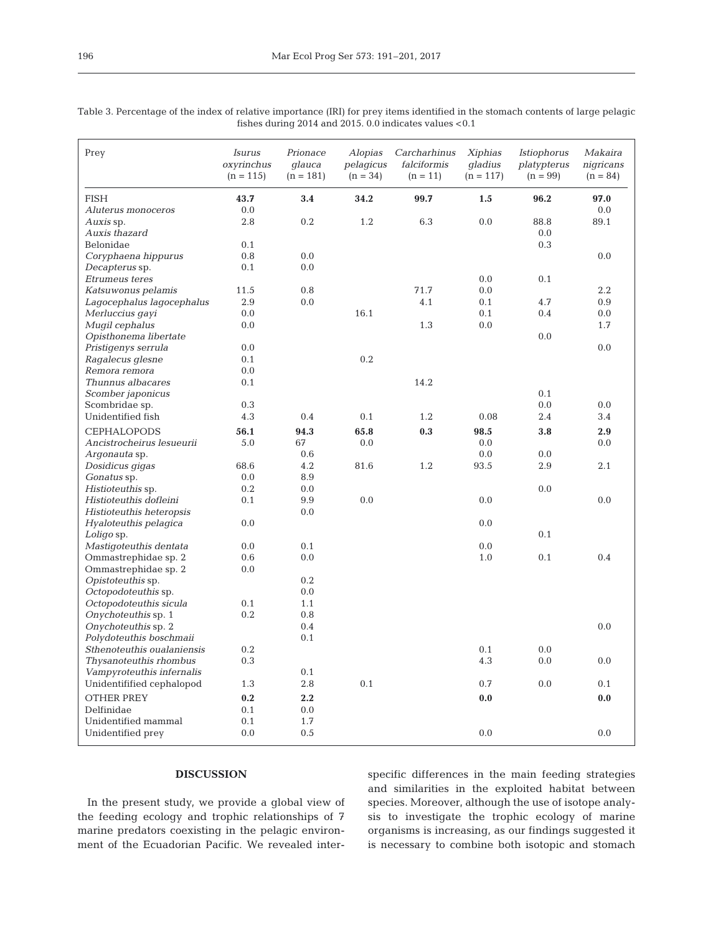| Prey                       | Isurus<br>oxyrinchus<br>$(n = 115)$ | Prionace<br>glauca<br>$(n = 181)$ | <b>Alopias</b><br>pelagicus<br>$(n = 34)$ | Carcharhinus<br>falciformis<br>$(n = 11)$ | Xiphias<br>gladius<br>$(n = 117)$ | <i>Istiophorus</i><br>platypterus<br>$(n = 99)$ | Makaira<br>nigricans<br>$(n = 84)$ |
|----------------------------|-------------------------------------|-----------------------------------|-------------------------------------------|-------------------------------------------|-----------------------------------|-------------------------------------------------|------------------------------------|
| <b>FISH</b>                | 43.7                                | 3.4                               | 34.2                                      | 99.7                                      | 1.5                               | 96.2                                            | 97.0                               |
| Aluterus monoceros         | 0.0                                 |                                   |                                           |                                           |                                   |                                                 | 0.0                                |
| Auxis sp.                  | 2.8                                 | 0.2                               | 1.2                                       | 6.3                                       | 0.0                               | 88.8                                            | 89.1                               |
| Auxis thazard              |                                     |                                   |                                           |                                           |                                   | 0.0                                             |                                    |
| Belonidae                  | 0.1                                 |                                   |                                           |                                           |                                   | $0.3\,$                                         |                                    |
| Coryphaena hippurus        | 0.8                                 | 0.0                               |                                           |                                           |                                   |                                                 | $0.0\,$                            |
| Decapterus sp.             | 0.1                                 | 0.0                               |                                           |                                           |                                   |                                                 |                                    |
| Etrumeus teres             |                                     |                                   |                                           |                                           | 0.0                               | 0.1                                             |                                    |
| Katsuwonus pelamis         | 11.5                                | 0.8                               |                                           | 71.7                                      | 0.0                               |                                                 | 2.2                                |
| Lagocephalus lagocephalus  | 2.9                                 | 0.0                               |                                           | 4.1                                       | 0.1                               | 4.7                                             | 0.9                                |
| Merluccius gayi            | 0.0                                 |                                   | 16.1                                      |                                           | 0.1                               | 0.4                                             | 0.0                                |
| Mugil cephalus             | 0.0                                 |                                   |                                           | 1.3                                       | 0.0                               |                                                 | 1.7                                |
| Opisthonema libertate      |                                     |                                   |                                           |                                           |                                   | 0.0                                             |                                    |
| Pristigenys serrula        | 0.0                                 |                                   |                                           |                                           |                                   |                                                 | 0.0                                |
| Ragalecus glesne           | 0.1                                 |                                   | 0.2                                       |                                           |                                   |                                                 |                                    |
| Remora remora              | 0.0                                 |                                   |                                           |                                           |                                   |                                                 |                                    |
| Thunnus albacares          | 0.1                                 |                                   |                                           | 14.2                                      |                                   |                                                 |                                    |
| Scomber japonicus          |                                     |                                   |                                           |                                           |                                   | 0.1                                             |                                    |
| Scombridae sp.             | 0.3                                 |                                   |                                           |                                           |                                   | 0.0                                             | 0.0                                |
| Unidentified fish          | 4.3                                 | 0.4                               | 0.1                                       | 1.2                                       | 0.08                              | 2.4                                             | 3.4                                |
| <b>CEPHALOPODS</b>         | 56.1                                | 94.3                              | 65.8                                      | 0.3                                       | 98.5                              | 3.8                                             | 2.9                                |
| Ancistrocheirus lesueurii  | 5.0                                 | 67                                | 0.0                                       |                                           | 0.0                               |                                                 | 0.0                                |
| Argonauta sp.              |                                     | 0.6                               |                                           |                                           | 0.0                               | 0.0                                             |                                    |
| Dosidicus gigas            | 68.6                                | 4.2                               | 81.6                                      | 1.2                                       | 93.5                              | 2.9                                             | 2.1                                |
| Gonatus sp.                | 0.0                                 | 8.9                               |                                           |                                           |                                   |                                                 |                                    |
| Histioteuthis sp.          | 0.2                                 | 0.0                               |                                           |                                           |                                   | 0.0                                             |                                    |
| Histioteuthis dofleini     | 0.1                                 | 9.9                               | 0.0                                       |                                           | 0.0                               |                                                 | 0.0                                |
| Histioteuthis heteropsis   |                                     | 0.0                               |                                           |                                           |                                   |                                                 |                                    |
| Hyaloteuthis pelagica      | 0.0                                 |                                   |                                           |                                           | 0.0                               |                                                 |                                    |
| Loligo sp.                 |                                     |                                   |                                           |                                           |                                   | 0.1                                             |                                    |
| Mastigoteuthis dentata     | 0.0                                 | 0.1                               |                                           |                                           | 0.0                               |                                                 |                                    |
| Ommastrephidae sp. 2       | 0.6                                 | 0.0                               |                                           |                                           | 1.0                               | 0.1                                             | 0.4                                |
| Ommastrephidae sp. 2       | 0.0                                 |                                   |                                           |                                           |                                   |                                                 |                                    |
| Opistoteuthis sp.          |                                     | 0.2                               |                                           |                                           |                                   |                                                 |                                    |
| Octopodoteuthis sp.        |                                     | 0.0                               |                                           |                                           |                                   |                                                 |                                    |
| Octopodoteuthis sicula     | 0.1                                 | 1.1                               |                                           |                                           |                                   |                                                 |                                    |
| Onychoteuthis sp. 1        | 0.2                                 | 0.8                               |                                           |                                           |                                   |                                                 |                                    |
| Onychoteuthis sp. 2        |                                     | 0.4                               |                                           |                                           |                                   |                                                 | 0.0                                |
| Polydoteuthis boschmaii    |                                     | 0.1                               |                                           |                                           |                                   |                                                 |                                    |
| Sthenoteuthis oualaniensis | $0.2\,$                             |                                   |                                           |                                           | 0.1                               | 0.0                                             |                                    |
| Thysanoteuthis rhombus     | $0.3\,$                             |                                   |                                           |                                           | 4.3                               | $0.0\,$                                         | 0.0                                |
| Vampyroteuthis infernalis  |                                     | 0.1                               |                                           |                                           |                                   |                                                 |                                    |
| Unidentifified cephalopod  | 1.3                                 | $2.8\,$                           | $0.1\,$                                   |                                           | 0.7                               | 0.0                                             | $0.1\,$                            |
| <b>OTHER PREY</b>          | $0.2\,$                             | 2.2                               |                                           |                                           | 0.0                               |                                                 | $\mathbf{0.0}$                     |
| Delfinidae                 | 0.1                                 | 0.0                               |                                           |                                           |                                   |                                                 |                                    |
| Unidentified mammal        | 0.1                                 | 1.7                               |                                           |                                           |                                   |                                                 |                                    |
| Unidentified prey          | 0.0                                 | 0.5                               |                                           |                                           | $0.0\,$                           |                                                 | $0.0\,$                            |
|                            |                                     |                                   |                                           |                                           |                                   |                                                 |                                    |

Table 3. Percentage of the index of relative importance (IRI) for prey items identified in the stomach contents of large pelagic fishes during 2014 and 2015. 0.0 indicates values <0.1

## **DISCUSSION**

In the present study, we provide a global view of the feeding ecology and trophic relationships of 7 marine predators coexisting in the pelagic environment of the Ecuadorian Pacific. We revealed interspecific differences in the main feeding strategies and similarities in the exploited habitat between species. Moreover, although the use of isotope analysis to investigate the trophic ecology of marine organisms is increasing, as our findings suggested it is necessary to combine both isotopic and stomach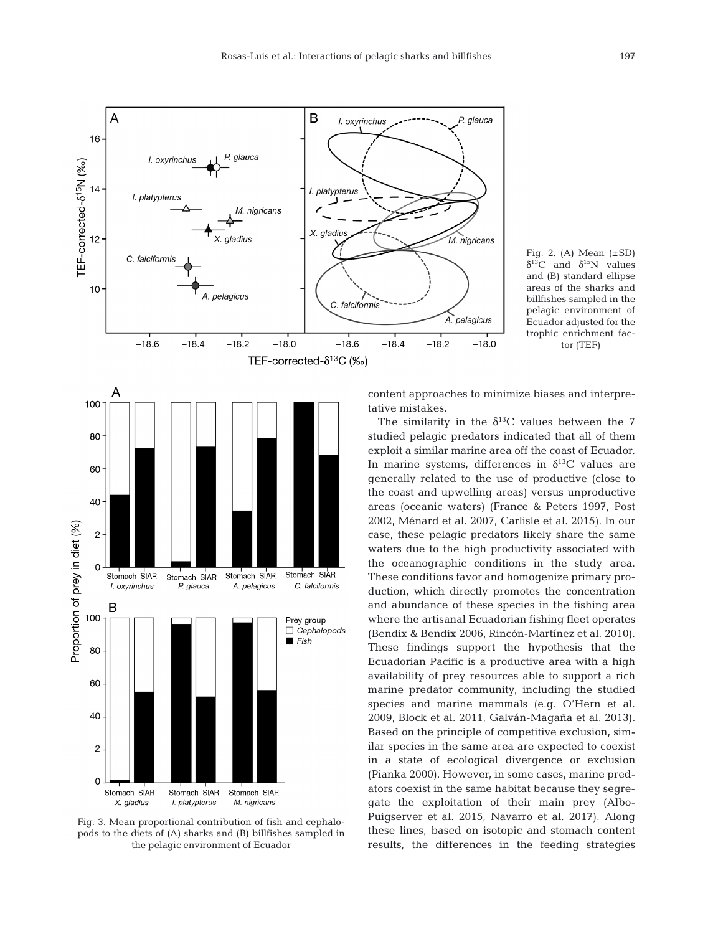

Fig. 3. Mean proportional contribution of fish and cephalopods to the diets of (A) sharks and (B) billfishes sampled in the pelagic environment of Ecuador

M. nigricans

I. platypterus

X. aladius

Fig. 2. (A) Mean  $(\pm SD)$  $\delta^{13}$ C and  $\delta^{15}$ N values and (B) standard ellipse areas of the sharks and billfishes sampled in the pelagic environment of Ecuador adjusted for the trophic enrichment factor (TEF)

content approaches to minimize biases and interpre-

 $-18.0$ 

glauca

The similarity in the  $\delta^{13}$ C values between the 7 studied pelagic predators indicated that all of them exploit a similar marine area off the coast of Ecuador. In marine systems, differences in  $\delta^{13}$ C values are generally related to the use of productive (close to the coast and upwelling areas) versus unproductive areas (oceanic waters) (France & Peters 1997, Post 2002, Ménard et al. 2007, Carlisle et al. 2015). In our case, these pelagic predators likely share the same waters due to the high productivity associated with the oceanographic conditions in the study area. These conditions favor and homogenize primary production, which directly promotes the concentration and abundance of these species in the fishing area where the artisanal Ecuadorian fishing fleet operates (Bendix & Bendix 2006, Rincón-Martínez et al. 2010). These findings support the hypothesis that the Ecuadorian Pacific is a productive area with a high availability of prey resources able to support a rich marine predator community, including the studied species and marine mammals (e.g. O'Hern et al. 2009, Block et al. 2011, Galván-Magaña et al. 2013). Based on the principle of competitive exclusion, similar species in the same area are expected to coexist in a state of ecological divergence or exclusion (Pianka 2000). However, in some cases, marine predators coexist in the same habitat because they segregate the exploitation of their main prey (Albo-Puigserver et al. 2015, Navarro et al. 2017). Along these lines, based on isotopic and stomach content results, the differences in the feeding strategies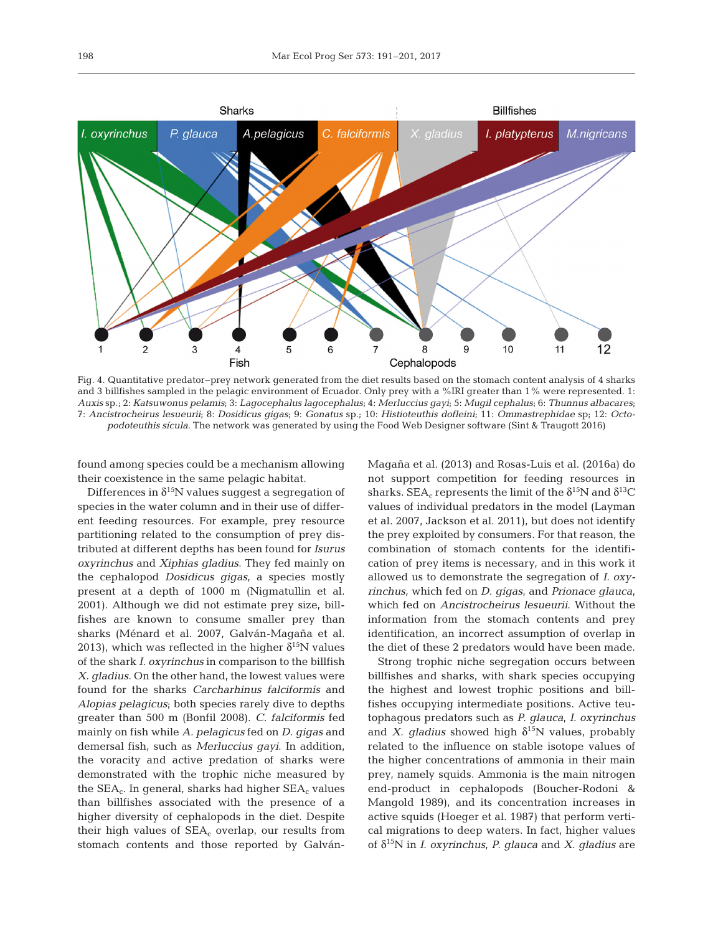

Fig. 4. Quantitative predator−prey network generated from the diet results based on the stomach content analysis of 4 sharks and 3 billfishes sampled in the pelagic environment of Ecuador. Only prey with a %IRI greater than 1% were represented. 1: *Auxis* sp.; 2: *Katsuwonus pelamis*; 3: *Lagocephalus lagocephalus*; 4: *Merluccius gayi*; 5: *Mugil cephalus*; 6: *Thunnus albacares*; 7: *Ancistrocheirus lesueurii*; 8: *Dosidicus gigas*; 9: *Gonatus* sp.; 10: *Histioteuthis dofleini*; 11: *Ommastrephidae* sp; 12: *Octopodoteuthis sícula*. The network was generated by using the Food Web Designer software (Sint & Traugott 2016)

found among species could be a mechanism allowing their coexistence in the same pelagic habitat.

Differences in  $\delta^{15}N$  values suggest a segregation of species in the water column and in their use of different feeding resources. For example, prey resource partitioning related to the consumption of prey distributed at different depths has been found for *Isurus oxyrinchus* and *Xiphias gladius*. They fed mainly on the cephalopod *Dosidicus gigas*, a species mostly present at a depth of 1000 m (Nigmatullin et al. 2001). Although we did not estimate prey size, billfishes are known to consume smaller prey than sharks (Ménard et al. 2007, Galván-Magaña et al. 2013), which was reflected in the higher  $\delta^{15}N$  values of the shark *I. oxyrinchus* in comparison to the billfish *X. gladius*. On the other hand, the lowest values were found for the sharks *Carcharhinus falciformis* and *Alopias pelagicus*; both species rarely dive to depths greater than 500 m (Bonfil 2008). *C. falciformis* fed mainly on fish while *A. pelagicus* fed on *D. gigas* and demersal fish, such as *Merluccius gayi*. In addition, the voracity and active predation of sharks were demonstrated with the trophic niche measured by the  $SEA_c$ . In general, sharks had higher  $SEA_c$  values than billfishes associated with the presence of a higher diversity of cephalopods in the diet. Despite their high values of  $SEA_c$  overlap, our results from stomach contents and those reported by GalvánMagaña et al. (2013) and Rosas-Luis et al. (2016a) do not support competition for feeding resources in sharks. SEA<sub>c</sub> represents the limit of the  $\delta^{15}N$  and  $\delta^{13}C$ values of individual predators in the model (Layman et al. 2007, Jackson et al. 2011), but does not identify the prey exploited by consumers. For that reason, the combination of stomach contents for the identification of prey items is necessary, and in this work it allowed us to demonstrate the segregation of *I. oxy rinchus,* which fed on *D. gigas*, and *Prionace glauca*, which fed on *Ancistrocheirus lesueurii*. Without the information from the stomach contents and prey identification, an incorrect assumption of overlap in the diet of these 2 predators would have been made.

Strong trophic niche segregation occurs between billfishes and sharks, with shark species occupying the highest and lowest trophic positions and billfishes occupying intermediate positions. Active teutophagous predators such as *P. glauca*, *I. oxyrinchus* and *X. gladius* showed high  $\delta^{15}N$  values, probably related to the influence on stable isotope values of the higher concentrations of ammonia in their main prey, namely squids. Ammonia is the main nitrogen end-product in cephalopods (Boucher-Rodoni & Mangold 1989), and its concentration increases in active squids (Hoeger et al. 1987) that perform vertical migrations to deep waters. In fact, higher values of δ15N in *I. oxyrinchus*, *P. glauca* and *X. gladius* are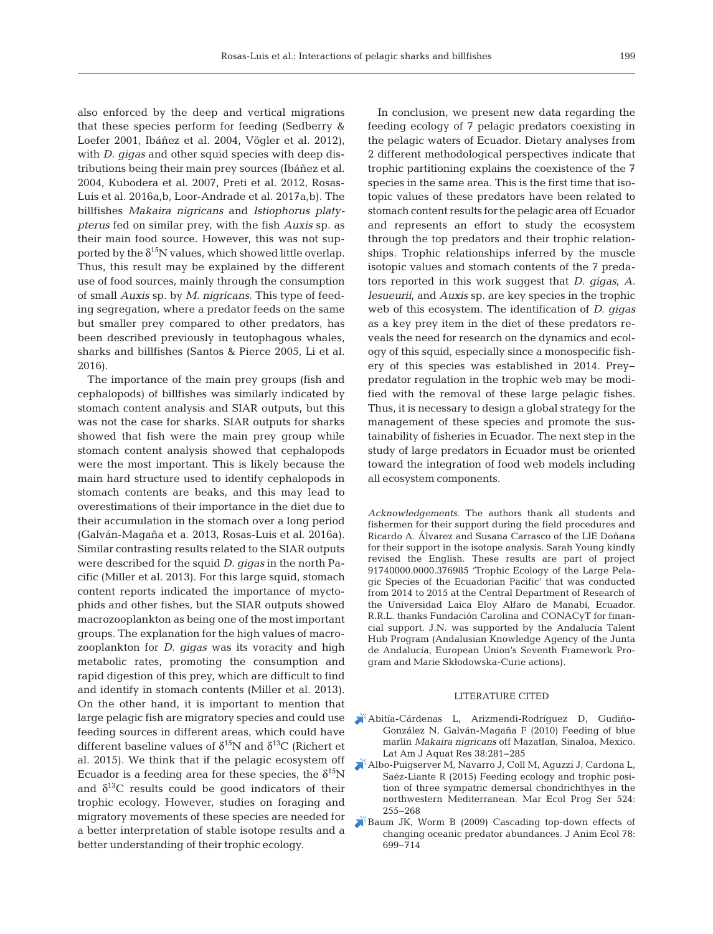also enforced by the deep and vertical migrations that these species perform for feeding (Sedberry & Loefer 2001, Ibáñez et al. 2004, Vögler et al. 2012), with *D. gigas* and other squid species with deep distributions being their main prey sources (Ibáñez et al. 2004, Kubodera et al. 2007, Preti et al. 2012, Rosas-Luis et al. 2016a,b, Loor-Andrade et al. 2017a,b). The billfishes *Makaira nigricans* and *Istiophorus platy pterus* fed on similar prey, with the fish *Auxis* sp. as their main food source. However, this was not supported by the  $\delta^{15}N$  values, which showed little overlap. Thus, this result may be explained by the different use of food sources, mainly through the consumption of small *Auxis* sp. by *M. nigricans*. This type of feeding segregation, where a predator feeds on the same but smaller prey compared to other predators, has been described previously in teutophagous whales, sharks and billfishes (Santos & Pierce 2005, Li et al. 2016).

The importance of the main prey groups (fish and cephalopods) of billfishes was similarly indicated by stomach content analysis and SIAR outputs, but this was not the case for sharks. SIAR outputs for sharks showed that fish were the main prey group while stomach content analysis showed that cephalopods were the most important. This is likely because the main hard structure used to identify cephalopods in stomach contents are beaks, and this may lead to overestimations of their importance in the diet due to their accumulation in the stomach over a long period (Galván-Magaña et a. 2013, Rosas-Luis et al. 2016a). Similar contrasting results related to the SIAR outputs were described for the squid *D. gigas* in the north Pacific (Miller et al. 2013). For this large squid, stomach content reports indicated the importance of myctophids and other fishes, but the SIAR outputs showed macrozooplankton as being one of the most important groups. The explanation for the high values of macrozooplankton for *D. gigas* was its voracity and high metabolic rates, promoting the consumption and rapid digestion of this prey, which are difficult to find and identify in stomach contents (Miller et al. 2013). On the other hand, it is important to mention that large pelagic fish are migratory species and could use feeding sources in different areas, which could have different baseline values of  $\delta^{15}N$  and  $\delta^{13}C$  (Richert et al. 2015). We think that if the pelagic ecosystem off Ecuador is a feeding area for these species, the  $\delta^{15}N$ and  $\delta^{13}$ C results could be good indicators of their trophic ecology. However, studies on foraging and migratory movements of these species are needed for a better interpretation of stable isotope results and a better understanding of their trophic ecology.

In conclusion, we present new data regarding the feeding ecology of 7 pelagic predators coexisting in the pelagic waters of Ecuador. Dietary analyses from 2 different methodological perspectives indicate that trophic partitioning explains the coexistence of the 7 species in the same area. This is the first time that isotopic values of these predators have been related to stomach content results for the pelagic area off Ecuador and represents an effort to study the ecosystem through the top predators and their trophic relationships. Trophic relationships inferred by the muscle isotopic values and stomach contents of the 7 predators reported in this work suggest that *D. gigas*, *A. lesueurii*, and *Auxis* sp. are key species in the trophic web of this ecosystem. The identification of *D. gigas* as a key prey item in the diet of these predators re veals the need for research on the dynamics and ecology of this squid, especially since a monospecific fishery of this species was established in 2014. Prey− predator regulation in the trophic web may be modified with the removal of these large pelagic fishes. Thus, it is necessary to design a global strategy for the management of these species and promote the sustainability of fisheries in Ecuador. The next step in the study of large predators in Ecuador must be oriented toward the integration of food web models including all ecosystem components.

*Acknowledgements*. The authors thank all students and fishermen for their support during the field procedures and Ricardo A. Álvarez and Susana Carrasco of the LIE Doñana for their support in the isotope analysis. Sarah Young kindly revised the English. These results are part of project 91740000.0000.376985 'Trophic Ecology of the Large Pela gic Species of the Ecuadorian Pacific' that was conducted from 2014 to 2015 at the Central Department of Research of the Universidad Laica Eloy Alfaro de Manabí, Ecuador. R.R.L. thanks Fundación Carolina and CONACyT for financial support. J.N. was supported by the Andalucía Talent Hub Program (Andalusian Knowledge Agency of the Junta de Andalucía, European Union's Seventh Framework Program and Marie Skłodowska-Curie actions).

## LITERATURE CITED

- [Abitía-Cárdenas L, Arizmendi-Rodríguez D, Gudiño-](https://doi.org/10.3856/vol38-issue2-fulltext-14)González N, Galván-Magaña F (2010) Feeding of blue marlin *Makaira nigricans* off Mazatlan, Sinaloa, Mexico. Lat Am J Aquat Res 38:281-285
- [Albo-Puigserver M, Navarro J, Coll M, Aguzzi J, Cardona L,](https://doi.org/10.3354/meps11188) Saéz-Liante R (2015) Feeding ecology and trophic position of three sympatric demersal chondrichthyes in the northwestern Mediterranean. Mar Ecol Prog Ser 524: 255−268
- [Baum JK, Worm B \(2009\) Cascading top-down effects of](https://doi.org/10.1111/j.1365-2656.2009.01531.x) changing oceanic predator abundances. J Anim Ecol 78: 699−714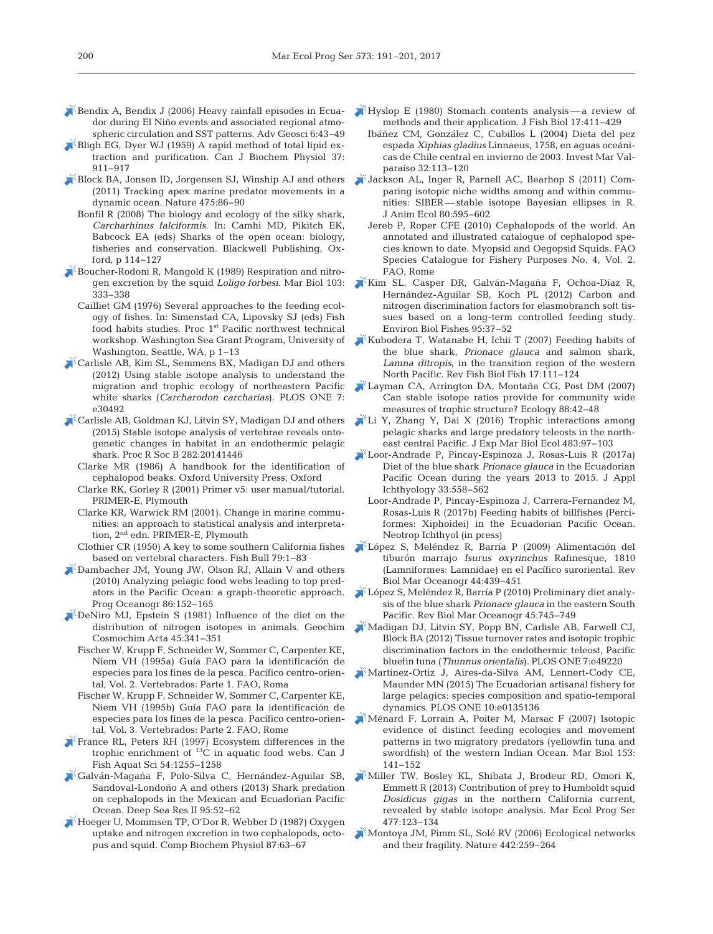- $\blacktriangleright$  Bendix A, Bendix J (2006) Heavy rainfall episodes in Ecuador during El Niño events and associated regional atmo spheric circulation and SST patterns. Adv Geosci 6:43-49
- Bligh EG, Dyer WJ (1959) A rapid method of total lipid extraction and purification. Can J Biochem Physiol 37: 911−917
- [Block BA, Jonsen ID, Jorgensen SJ, Winship AJ and others](https://doi.org/10.1038/nature10082) (2011) Tracking apex marine predator movements in a dynamic ocean. Nature 475: 86−90
	- Bonfil R (2008) The biology and ecology of the silky shark, *Carcharhinus falciformis*. In:Camhi MD, Pikitch EK, Babcock EA (eds) Sharks of the open ocean: biology, fisheries and conservation. Blackwell Publishing, Oxford, p 114−127
- [Boucher-Rodoni R, Mangold K \(1989\) Respiration and nitro](https://doi.org/10.1007/BF00397267)gen excretion by the squid *Loligo forbesi.* Mar Biol 103: 333−338
	- Cailliet GM (1976) Several approaches to the feeding ecology of fishes. In: Simenstad CA, Lipovsky SJ (eds) Fish food habits studies. Proc 1<sup>st</sup> Pacific northwest technical workshop. Washington Sea Grant Program, University of Washington, Seattle, WA, p 1−13
- [Carlisle AB, Kim SL, Semmens BX, Madigan DJ and others](https://doi.org/10.1371/journal.pone.0030492) (2012) Using stable isotope analysis to understand the migration and trophic ecology of northeastern Pacific white sharks (*Carcharodon carcharias*). PLOS ONE 7: e30492
- [Carlisle AB, Goldman KJ, Litvin SY, Madigan DJ and others](https://doi.org/10.1098/rspb.2014.1446) (2015) Stable isotope analysis of vertebrae reveals ontogenetic changes in habitat in an endothermic pelagic shark. Proc R Soc B 282:20141446
	- Clarke MR (1986) A handbook for the identification of cephalopod beaks. Oxford University Press, Oxford
	- Clarke RK, Gorley R (2001) Primer v5: user manual/tutorial. PRIMER-E, Plymouth
	- Clarke KR, Warwick RM (2001). Change in marine communities: an approach to statistical analysis and interpretation, 2nd edn. PRIMER-E, Plymouth
	- Clothier CR (1950) A key to some southern California fishes based on vertebral characters. Fish Bull 79:1-83
- [Dambacher JM, Young JW, Olson RJ, Allain V and others](https://doi.org/10.1016/j.pocean.2010.04.011) (2010) Analyzing pelagic food webs leading to top predators in the Pacific Ocean: a graph-theoretic approach. Prog Oceanogr 86:152-165
- [DeNiro MJ, Epstein S \(1981\) Influence of the diet on the](https://doi.org/10.1016/0016-7037(81)90244-1) distribution of nitrogen isotopes in animals. Geochim Cosmochim Acta 45: 341−351
	- Fischer W, Krupp F, Schneider W, Sommer C, Carpenter KE, Niem VH (1995a) Guía FAO para la identificación de especies para los fines de la pesca. Pacífico centro-oriental, Vol. 2. Vertebrados: Parte 1. FAO, Roma
	- Fischer W, Krupp F, Schneider W, Sommer C, Carpenter KE, Niem VH (1995b) Guía FAO para la identificación de especies para los fines de la pesca. Pacífico centro-oriental, Vol. 3. Vertebrados: Parte 2. FAO, Rome
- [France RL, Peters RH \(1997\) Ecosystem differences in the](https://doi.org/10.1139/f97-044) trophic enrichment of  $^{13}$ C in aquatic food webs. Can J Fish Aquat Sci 54: 1255−1258
- [Galván-Magaña F, Polo-Silva C, Hernández-Aguilar SB,](https://doi.org/10.1016/j.dsr2.2013.04.002) Sandoval-Londoño A and others (2013) Shark predation on cephalopods in the Mexican and Ecuadorian Pacific Ocean. Deep Sea Res II 95:52-62
- [Hoeger U, Mommsen TP, O'Dor R, Webber D \(1987\) Oxygen](https://doi.org/10.1016/0300-9629(87)90426-9) uptake and nitrogen excretion in two cephalopods, octopus and squid. Comp Biochem Physiol 87:63-67
- $\mathbb{R}$  [Hyslop E \(1980\) Stomach contents analysis a review of](https://doi.org/10.1111/j.1095-8649.1980.tb02775.x) methods and their application. J Fish Biol 17:411-429
	- Ibáñez CM, González C, Cubillos L (2004) Dieta del pez espada *Xiphias gladius* Linnaeus, 1758, en aguas oceánicas de Chile central en invierno de 2003. Invest Mar Valparaíso 32: 113−120
- [Jackson AL, Inger R, Parnell AC, Bearhop S \(2011\) Com](https://doi.org/10.1111/j.1365-2656.2011.01806.x)  paring isotopic niche widths among and within communities: SIBER-stable isotope Bayesian ellipses in R. J Anim Ecol 80: 595−602
	- Jereb P, Roper CFE (2010) Cephalopods of the world. An annotated and illustrated catalogue of cephalopod species known to date. Myopsid and Oegopsid Squids. FAO Species Catalogue for Fishery Purposes No. 4, Vol. 2. FAO, Rome
- [Kim SL, Casper DR, Galván-Magaña F, Ochoa-Díaz R,](https://doi.org/10.1007/s10641-011-9919-7) Hernández-Aguilar SB, Koch PL (2012) Carbon and nitrogen discrimination factors for elasmobranch soft tissues based on a long-term controlled feeding study. Environ Biol Fishes 95: 37−52
- [Kubodera T, Watanabe H, Ichii T \(2007\) Feeding habits of](https://doi.org/10.1007/s11160-006-9020-z) the blue shark, *Prionace glauca* and salmon shark, *Lamna ditropis*, in the transition region of the western North Pacific. Rev Fish Biol Fish 17: 111−124
- [Layman CA, Arrington DA, Montaña CG, Post DM \(2007\)](https://doi.org/10.1890/0012-9658(2007)88%5b42%3ACSIRPF%5d2.0.CO%3B2) Can stable isotope ratios provide for community wide measures of trophic structure? Ecology 88:42-48
- [Li Y, Zhang Y, Dai X \(2016\) Trophic interactions among](https://doi.org/10.1016/j.jembe.2016.04.013) pelagic sharks and large predatory teleosts in the northeast central Pacific. J Exp Mar Biol Ecol 483: 97−103
- [Loor-Andrade P, Pincay-Espinoza J, Rosas-Luis R \(2017a\)](https://doi.org/10.1111/jai.13329) Diet of the blue shark *Prionace glauca* in the Ecuadorian Pacific Ocean during the years 2013 to 2015. J Appl Ichthyology 33: 558−562
- Loor-Andrade P, Pincay-Espinoza J, Carrera-Fernandez M, Rosas-Luis R (2017b) Feeding habits of billfishes (Perciformes: Xiphoidei) in the Ecuadorian Pacific Ocean. Neotrop Ichthyol (in press)
- [López S, Meléndez R, Barría P \(2009\) Alimentación del](https://doi.org/10.4067/S0718-19572009000200017) tiburón marrajo *Isurus oxyrinchus* Rafinesque, 1810 (Lamniformes:Lamnidae) en el Pacífico suroriental. Rev Biol Mar Oceanogr 44:439-451
- [López S, Meléndez R, Barría P \(2010\) Preliminary diet analy](https://doi.org/10.4067/S0718-19572010000400017)sis of the blue shark *Prionace glauca* in the eastern South Pacific. Rev Biol Mar Oceanogr 45:745−749
- [Madigan DJ, Litvin SY, Popp BN, Carlisle AB, Farwell CJ,](https://doi.org/10.1371/journal.pone.0049220) Block BA (2012) Tissue turnover rates and isotopic trophic discrimination factors in the endothermic teleost, Pacific bluefin tuna (*Thunnus orientalis*). PLOS ONE 7: e49220
- [Martínez-Ortiz J, Aires-da-Silva AM, Lennert-Cody CE,](https://doi.org/10.1371/journal.pone.0135136) Maunder MN (2015) The Ecuadorian artisanal fishery for large pelagics: species composition and spatio-temporal dynamics. PLOS ONE 10:e0135136
- [Ménard F, Lorrain A, Poiter M, Marsac F \(2007\) Isotopic](https://doi.org/10.1007/s00227-007-0789-7) evidence of distinct feeding ecologies and movement patterns in two migratory predators (yellowfin tuna and swordfish) of the western Indian Ocean. Mar Biol 153: 141−152
- [Miller TW, Bosley KL, Shibata J, Brodeur RD, Omori K,](https://doi.org/10.3354/meps10133) Emmett R (2013) Contribution of prey to Humboldt squid *Dosidicus gigas* in the northern California current, revealed by stable isotope analysis. Mar Ecol Prog Ser 477: 123−134
- [Montoya JM, Pimm SL, Solé RV \(2006\) Ecological networks](https://doi.org/10.1038/nature04927) and their fragility. Nature 442: 259−264